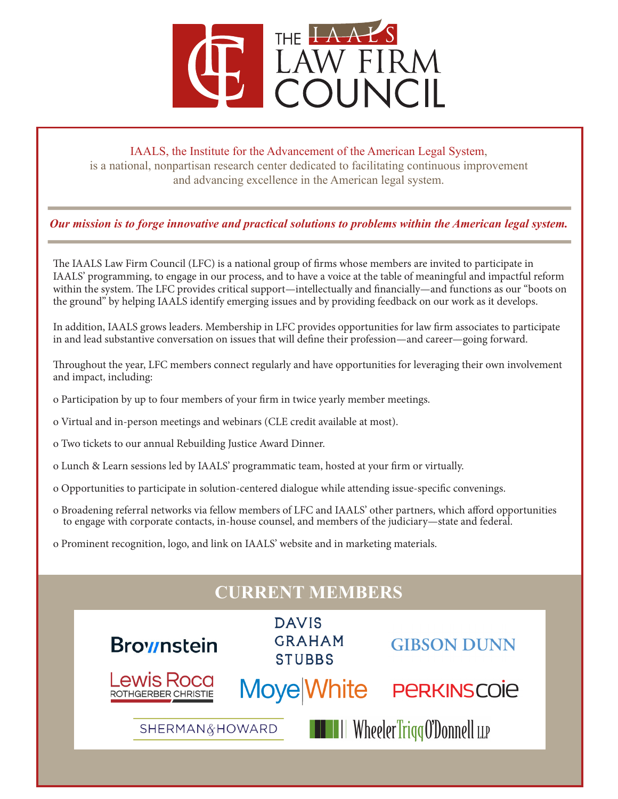

#### IAALS, the Institute for the Advancement of the American Legal System,

is a national, nonpartisan research center dedicated to facilitating continuous improvement and advancing excellence in the American legal system.

### *Our mission is to forge innovative and practical solutions to problems within the American legal system.*

The IAALS Law Firm Council (LFC) is a national group of firms whose members are invited to participate in IAALS' programming, to engage in our process, and to have a voice at the table of meaningful and impactful reform within the system. The LFC provides critical support—intellectually and financially—and functions as our "boots on the ground" by helping IAALS identify emerging issues and by providing feedback on our work as it develops.

In addition, IAALS grows leaders. Membership in LFC provides opportunities for law firm associates to participate in and lead substantive conversation on issues that will define their profession—and career—going forward.

Throughout the year, LFC members connect regularly and have opportunities for leveraging their own involvement and impact, including:

- o Participation by up to four members of your firm in twice yearly member meetings.
- o Virtual and in-person meetings and webinars (CLE credit available at most).
- o Two tickets to our annual Rebuilding Justice Award Dinner.
- o Lunch & Learn sessions led by IAALS' programmatic team, hosted at your firm or virtually.
- o Opportunities to participate in solution-centered dialogue while attending issue-specific convenings.
- o Broadening referral networks via fellow members of LFC and IAALS' other partners, which afford opportunities to engage with corporate contacts, in-house counsel, and members of the judiciary—state and federal.
- o Prominent recognition, logo, and link on IAALS' website and in marketing materials.

| <b>CURRENT MEMBERS</b>                                     |                                                |                    |
|------------------------------------------------------------|------------------------------------------------|--------------------|
| <b>Brownstein</b>                                          | <b>DAVIS</b><br><b>GRAHAM</b><br><b>STUBBS</b> | <b>GIBSON DUNN</b> |
| <b>Lewis Roca</b><br><b>ROTHGERBER CHRISTIE</b>            | <b>Moye White</b>                              | <b>PERKINSCOIE</b> |
| <b>THE HIM WheelerTriggO'Donnell</b> LLP<br>SHERMAN&HOWARD |                                                |                    |